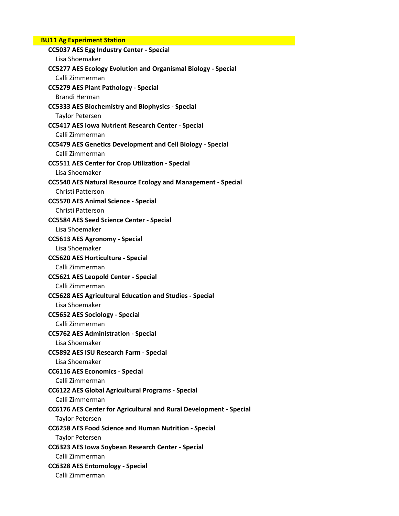# **BU11 Ag Experiment Station**

| <b>CC5037 AES Egg Industry Center - Special</b>                           |
|---------------------------------------------------------------------------|
| Lisa Shoemaker                                                            |
| <b>CC5277 AES Ecology Evolution and Organismal Biology - Special</b>      |
| Calli Zimmerman                                                           |
| <b>CC5279 AES Plant Pathology - Special</b>                               |
| Brandi Herman                                                             |
| <b>CC5333 AES Biochemistry and Biophysics - Special</b>                   |
| <b>Taylor Petersen</b>                                                    |
| <b>CC5417 AES Iowa Nutrient Research Center - Special</b>                 |
| Calli Zimmerman                                                           |
| <b>CC5479 AES Genetics Development and Cell Biology - Special</b>         |
| Calli Zimmerman                                                           |
| <b>CC5511 AES Center for Crop Utilization - Special</b>                   |
| Lisa Shoemaker                                                            |
| <b>CC5540 AES Natural Resource Ecology and Management - Special</b>       |
| Christi Patterson                                                         |
| <b>CC5570 AES Animal Science - Special</b>                                |
| Christi Patterson                                                         |
| <b>CC5584 AES Seed Science Center - Special</b>                           |
| Lisa Shoemaker                                                            |
| <b>CC5613 AES Agronomy - Special</b>                                      |
| Lisa Shoemaker                                                            |
| <b>CC5620 AES Horticulture - Special</b>                                  |
| Calli Zimmerman                                                           |
| <b>CC5621 AES Leopold Center - Special</b>                                |
| Calli Zimmerman                                                           |
| <b>CC5628 AES Agricultural Education and Studies - Special</b>            |
| Lisa Shoemaker                                                            |
| <b>CC5652 AES Sociology - Special</b>                                     |
| Calli Zimmerman                                                           |
| <b>CC5762 AES Administration - Special</b>                                |
| Lisa Shoemaker                                                            |
|                                                                           |
| <b>CC5892 AES ISU Research Farm - Special</b>                             |
| Lisa Shoemaker                                                            |
| <b>CC6116 AES Economics - Special</b>                                     |
| Calli Zimmerman                                                           |
| <b>CC6122 AES Global Agricultural Programs - Special</b>                  |
| Calli Zimmerman                                                           |
| <b>CC6176 AES Center for Agricultural and Rural Development - Special</b> |
| <b>Taylor Petersen</b>                                                    |
| CC6258 AES Food Science and Human Nutrition - Special                     |
| <b>Taylor Petersen</b>                                                    |
| CC6323 AES Iowa Soybean Research Center - Special                         |
| Calli Zimmerman                                                           |
| <b>CC6328 AES Entomology - Special</b>                                    |
| Calli Zimmerman                                                           |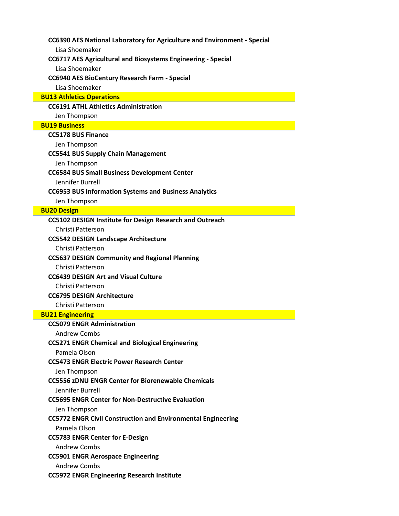**CC6390 AES National Laboratory for Agriculture and Environment ‐ Special**

Lisa Shoemaker

#### **CC6717 AES Agricultural and Biosystems Engineering ‐ Special**

Lisa Shoemaker

#### **CC6940 AES BioCentury Research Farm ‐ Special**

Lisa Shoemaker

#### **BU13 Athletics Operations**

#### **CC6191 ATHL Athletics Administration**

Jen Thompson

### **BU19 Business**

#### **CC5178 BUS Finance**

Jen Thompson

#### **CC5541 BUS Supply Chain Management**

Jen Thompson

#### **CC6584 BUS Small Business Development Center**

Jennifer Burrell

#### **CC6953 BUS Information Systems and Business Analytics**

Jen Thompson

#### **BU20 Design**

#### **CC5102 DESIGN Institute for Design Research and Outreach**

Christi Patterson

#### **CC5542 DESIGN Landscape Architecture**

Christi Patterson

#### **CC5637 DESIGN Community and Regional Planning**

Christi Patterson

#### **CC6439 DESIGN Art and Visual Culture**

Christi Patterson

# **CC6795 DESIGN Architecture**

Christi Patterson

### **BU21 Engineering**

# **CC5079 ENGR Administration** Andrew Combs **CC5271 ENGR Chemical and Biological Engineering** Pamela Olson **CC5473 ENGR Electric Power Research Center** Jen Thompson **CC5556 zDNU ENGR Center for Biorenewable Chemicals** Jennifer Burrell **CC5695 ENGR Center for Non‐Destructive Evaluation** Jen Thompson **CC5772 ENGR Civil Construction and Environmental Engineering** Pamela Olson **CC5783 ENGR Center for E‐Design** Andrew Combs **CC5901 ENGR Aerospace Engineering** Andrew Combs **CC5972 ENGR Engineering Research Institute**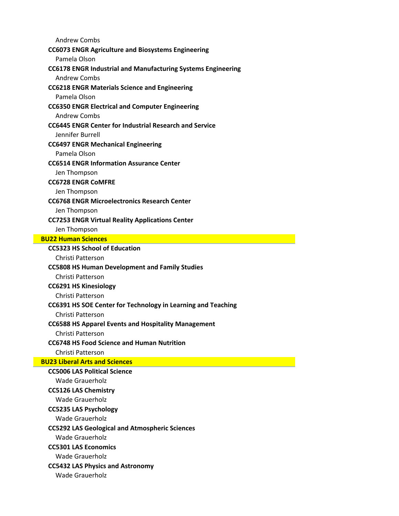Andrew Combs

#### **CC6073 ENGR Agriculture and Biosystems Engineering**

Pamela Olson

# **CC6178 ENGR Industrial and Manufacturing Systems Engineering**

Andrew Combs

# **CC6218 ENGR Materials Science and Engineering**

Pamela Olson

# **CC6350 ENGR Electrical and Computer Engineering**

Andrew Combs

### **CC6445 ENGR Center for Industrial Research and Service**

Jennifer Burrell

#### **CC6497 ENGR Mechanical Engineering**

Pamela Olson

# **CC6514 ENGR Information Assurance Center**

Jen Thompson

#### **CC6728 ENGR CoMFRE**

Jen Thompson

#### **CC6768 ENGR Microelectronics Research Center**

Jen Thompson

# **CC7253 ENGR Virtual Reality Applications Center**

Jen Thompson

#### **BU22 Human Sciences**

### **CC5323 HS School of Education**

#### Christi Patterson

# **CC5808 HS Human Development and Family Studies**

Christi Patterson

# **CC6291 HS Kinesiology**

Christi Patterson

# **CC6391 HS SOE Center for Technology in Learning and Teaching**

Christi Patterson

# **CC6588 HS Apparel Events and Hospitality Management**

Christi Patterson

# **CC6748 HS Food Science and Human Nutrition**

# Christi Patterson

**BU23 Liberal Arts and Sciences**

**CC5006 LAS Political Science** Wade Grauerholz **CC5126 LAS Chemistry** Wade Grauerholz **CC5235 LAS Psychology** Wade Grauerholz **CC5292 LAS Geological and Atmospheric Sciences** Wade Grauerholz **CC5301 LAS Economics**

Wade Grauerholz

# **CC5432 LAS Physics and Astronomy**

Wade Grauerholz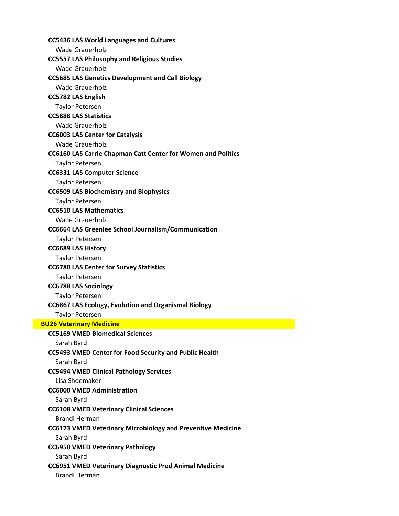| <b>Wade Grauerholz</b>                                                                |
|---------------------------------------------------------------------------------------|
| <b>CC5557 LAS Philosophy and Religious Studies</b>                                    |
| <b>Wade Grauerholz</b>                                                                |
| <b>CC5685 LAS Genetics Development and Cell Biology</b>                               |
| <b>Wade Grauerholz</b>                                                                |
| <b>CC5782 LAS English</b>                                                             |
| <b>Taylor Petersen</b>                                                                |
| <b>CC5888 LAS Statistics</b>                                                          |
| <b>Wade Grauerholz</b>                                                                |
| <b>CC6003 LAS Center for Catalysis</b>                                                |
| <b>Wade Grauerholz</b>                                                                |
| <b>CC6160 LAS Carrie Chapman Catt Center for Women and Politics</b>                   |
| <b>Taylor Petersen</b>                                                                |
| <b>CC6331 LAS Computer Science</b>                                                    |
| <b>Taylor Petersen</b>                                                                |
| <b>CC6509 LAS Biochemistry and Biophysics</b>                                         |
| <b>Taylor Petersen</b>                                                                |
| <b>CC6510 LAS Mathematics</b>                                                         |
| <b>Wade Grauerholz</b>                                                                |
| <b>CC6664 LAS Greenlee School Journalism/Communication</b>                            |
| <b>Taylor Petersen</b>                                                                |
| <b>CC6689 LAS History</b>                                                             |
| <b>Taylor Petersen</b>                                                                |
| <b>CC6780 LAS Center for Survey Statistics</b>                                        |
| <b>Taylor Petersen</b>                                                                |
|                                                                                       |
| <b>CC6788 LAS Sociology</b>                                                           |
| <b>Taylor Petersen</b>                                                                |
| <b>CC6867 LAS Ecology, Evolution and Organismal Biology</b>                           |
| <b>Taylor Petersen</b>                                                                |
| <b>BU26 Veterinary Medicine</b>                                                       |
| <b>CC5169 VMED Biomedical Sciences</b>                                                |
| Sarah Byrd                                                                            |
| <b>CC5493 VMED Center for Food Security and Public Health</b>                         |
| Sarah Byrd                                                                            |
| <b>CC5494 VMED Clinical Pathology Services</b>                                        |
| Lisa Shoemaker                                                                        |
| <b>CC6000 VMED Administration</b>                                                     |
| Sarah Byrd                                                                            |
| <b>CC6108 VMED Veterinary Clinical Sciences</b>                                       |
| Brandi Herman                                                                         |
| <b>CC6173 VMED Veterinary Microbiology and Preventive Medicine</b>                    |
| Sarah Byrd                                                                            |
| <b>CC6950 VMED Veterinary Pathology</b>                                               |
| Sarah Byrd                                                                            |
| <b>CC6951 VMED Veterinary Diagnostic Prod Animal Medicine</b><br><b>Brandi Herman</b> |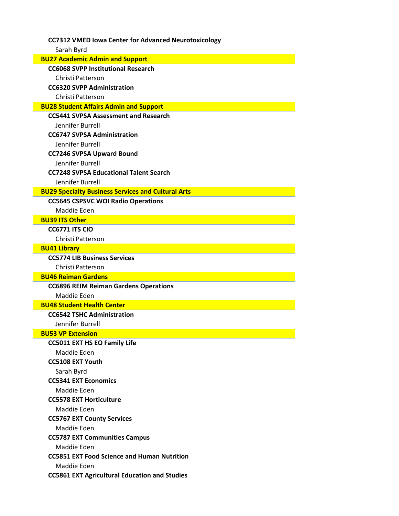# **CC7312 VMED Iowa Center for Advanced Neurotoxicology**

Sarah Byrd

| <b>BU27 Academic Admin and Support</b>                    |
|-----------------------------------------------------------|
| <b>CC6068 SVPP Institutional Research</b>                 |
| Christi Patterson                                         |
| <b>CC6320 SVPP Administration</b>                         |
| Christi Patterson                                         |
| <b>BU28 Student Affairs Admin and Support</b>             |
| <b>CC5441 SVPSA Assessment and Research</b>               |
| Jennifer Burrell                                          |
| <b>CC6747 SVPSA Administration</b>                        |
| Jennifer Burrell                                          |
| <b>CC7246 SVPSA Upward Bound</b>                          |
| Jennifer Burrell                                          |
| <b>CC7248 SVPSA Educational Talent Search</b>             |
| Jennifer Burrell                                          |
| <b>BU29 Specialty Business Services and Cultural Arts</b> |
| <b>CC5645 CSPSVC WOI Radio Operations</b>                 |
| Maddie Eden                                               |
| <b>BU39 ITS Other</b>                                     |
| <b>CC6771 ITS CIO</b>                                     |
| Christi Patterson                                         |
| <b>BU41 Library</b>                                       |
| <b>CC5774 LIB Business Services</b>                       |
| Christi Patterson                                         |
| <b>BU46 Reiman Gardens</b>                                |
| <b>CC6896 REIM Reiman Gardens Operations</b>              |
| Maddie Eden<br><b>BU48 Student Health Center</b>          |
| <b>CC6542 TSHC Administration</b>                         |
| Jennifer Burrell                                          |
| <b>BU53 VP Extension</b>                                  |
| <b>CC5011 EXT HS EO Family Life</b>                       |
| Maddie Eden                                               |
| <b>CC5108 EXT Youth</b>                                   |
| Sarah Byrd                                                |
| <b>CC5341 EXT Economics</b>                               |
| Maddie Eden                                               |
| <b>CC5578 EXT Horticulture</b>                            |
| Maddie Eden                                               |
| <b>CC5767 EXT County Services</b>                         |
| Maddie Eden                                               |
| <b>CC5787 EXT Communities Campus</b>                      |
| Maddie Eden                                               |
| <b>CC5851 EXT Food Science and Human Nutrition</b>        |
| Maddie Eden                                               |
| <b>CC5861 EXT Agricultural Education and Studies</b>      |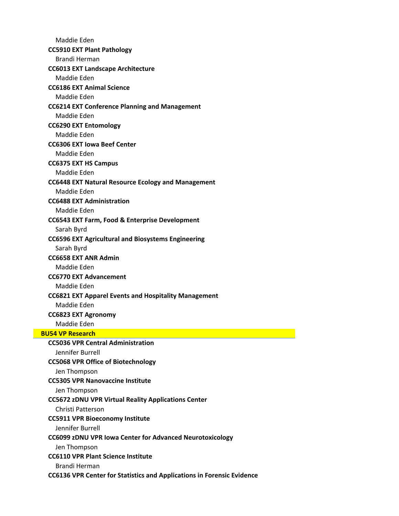Maddie Eden **CC5910 EXT Plant Pathology** Brandi Herman **CC6013 EXT Landscape Architecture** Maddie Eden **CC6186 EXT Animal Science** Maddie Eden **CC6214 EXT Conference Planning and Management** Maddie Eden **CC6290 EXT Entomology** Maddie Eden **CC6306 EXT Iowa Beef Center** Maddie Eden **CC6375 EXT HS Campus** Maddie Eden **CC6448 EXT Natural Resource Ecology and Management** Maddie Eden **CC6488 EXT Administration** Maddie Eden **CC6543 EXT Farm, Food & Enterprise Development** Sarah Byrd **CC6596 EXT Agricultural and Biosystems Engineering** Sarah Byrd **CC6658 EXT ANR Admin** Maddie Eden **CC6770 EXT Advancement** Maddie Eden **CC6821 EXT Apparel Events and Hospitality Management** Maddie Eden **CC6823 EXT Agronomy** Maddie Eden **BU54 VP Research CC5036 VPR Central Administration** Jennifer Burrell **CC5068 VPR Office of Biotechnology** Jen Thompson **CC5305 VPR Nanovaccine Institute** Jen Thompson **CC5672 zDNU VPR Virtual Reality Applications Center** Christi Patterson **CC5911 VPR Bioeconomy Institute** Jennifer Burrell **CC6099 zDNU VPR Iowa Center for Advanced Neurotoxicology** Jen Thompson **CC6110 VPR Plant Science Institute** Brandi Herman **CC6136 VPR Center for Statistics and Applications in Forensic Evidence**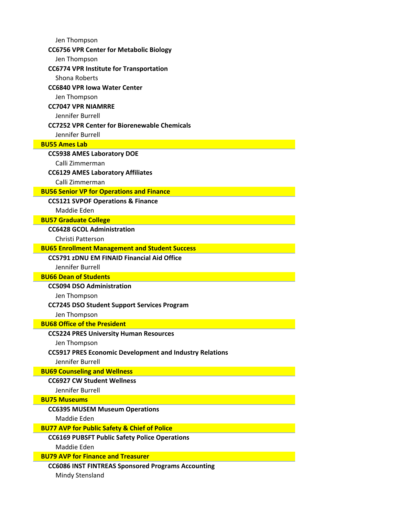| Jen Thompson                                                                                                    |
|-----------------------------------------------------------------------------------------------------------------|
| <b>CC6756 VPR Center for Metabolic Biology</b>                                                                  |
| Jen Thompson                                                                                                    |
| <b>CC6774 VPR Institute for Transportation</b>                                                                  |
| Shona Roberts                                                                                                   |
| <b>CC6840 VPR Jowa Water Center</b>                                                                             |
| Jen Thompson                                                                                                    |
| <b>CC7047 VPR NIAMRRE</b>                                                                                       |
| Jennifer Burrell                                                                                                |
| <b>CC7252 VPR Center for Biorenewable Chemicals</b>                                                             |
| Jennifer Burrell                                                                                                |
| <b>BU55 Ames Lab</b>                                                                                            |
| <b>CC5938 AMES Laboratory DOE</b>                                                                               |
| Calli Zimmerman                                                                                                 |
| <b>CC6129 AMES Laboratory Affiliates</b>                                                                        |
| Calli Zimmerman                                                                                                 |
| <b>BU56 Senior VP for Operations and Finance</b>                                                                |
| <b>CC5121 SVPOF Operations &amp; Finance</b>                                                                    |
| Maddie Eden                                                                                                     |
| <b>BU57 Graduate College</b>                                                                                    |
| <b>CC6428 GCOL Administration</b>                                                                               |
| Christi Patterson                                                                                               |
| <b>BU65 Enrollment Management and Student Success</b>                                                           |
| <b>CC5791 zDNU EM FINAID Financial Aid Office</b>                                                               |
| Jennifer Burrell                                                                                                |
| <b>BU66 Dean of Students</b>                                                                                    |
| <b>CC5094 DSO Administration</b>                                                                                |
| Jen Thompson                                                                                                    |
| <b>CC7245 DSO Student Support Services Program</b>                                                              |
| Jen Thompson                                                                                                    |
| <b>BU68 Office of the President</b>                                                                             |
| <b>CC5224 PRES University Human Resources</b>                                                                   |
| Jen Thompson                                                                                                    |
| <b>CC5917 PRES Economic Development and Industry Relations</b>                                                  |
| <b>Jennifer Burrell</b>                                                                                         |
| <b>BU69 Counseling and Wellness</b>                                                                             |
| <b>CC6927 CW Student Wellness</b>                                                                               |
| Jennifer Burrell                                                                                                |
| <b>BU75 Museums</b>                                                                                             |
| <b>CC6395 MUSEM Museum Operations</b>                                                                           |
| Maddie Eden                                                                                                     |
| <b>BU77 AVP for Public Safety &amp; Chief of Police</b><br><b>CC6169 PUBSFT Public Safety Police Operations</b> |
| Maddie Eden                                                                                                     |
| <b>BU79 AVP for Finance and Treasurer</b>                                                                       |
| <b>CC6086 INST FINTREAS Sponsored Programs Accounting</b>                                                       |
| Mindy Stensland                                                                                                 |
|                                                                                                                 |